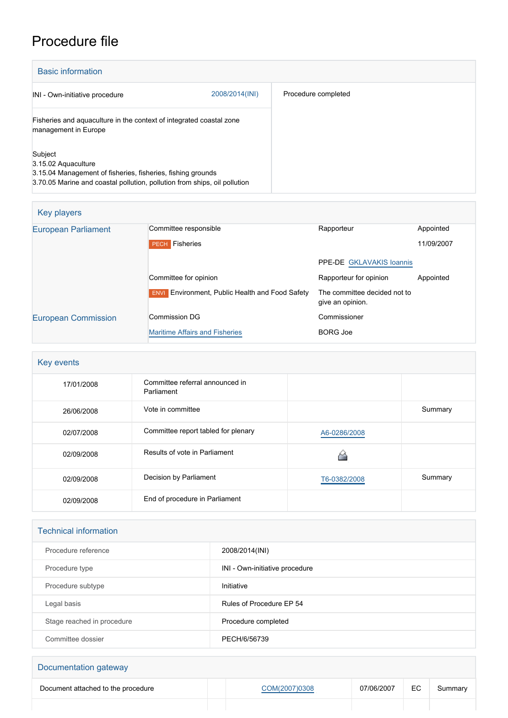# Procedure file

| <b>Basic information</b>                                                                                                                                                   |                |                     |
|----------------------------------------------------------------------------------------------------------------------------------------------------------------------------|----------------|---------------------|
| INI - Own-initiative procedure                                                                                                                                             | 2008/2014(INI) | Procedure completed |
| Fisheries and aquaculture in the context of integrated coastal zone<br>management in Europe                                                                                |                |                     |
| Subject<br>3.15.02 Aquaculture<br>3.15.04 Management of fisheries, fisheries, fishing grounds<br>3.70.05 Marine and coastal pollution, pollution from ships, oil pollution |                |                     |

| Committee responsible                                  | Rapporteur                                       | Appointed  |
|--------------------------------------------------------|--------------------------------------------------|------------|
| Fisheries<br><b>PECH</b>                               |                                                  | 11/09/2007 |
|                                                        | PPE-DE GKLAVAKIS Ioannis                         |            |
| Committee for opinion                                  | Rapporteur for opinion                           | Appointed  |
| <b>ENVI</b> Environment, Public Health and Food Safety | The committee decided not to<br>give an opinion. |            |
| Commission DG                                          | Commissioner                                     |            |
| <b>Maritime Affairs and Fisheries</b>                  | <b>BORG Joe</b>                                  |            |
|                                                        |                                                  |            |

| Key events |                                               |              |         |  |
|------------|-----------------------------------------------|--------------|---------|--|
| 17/01/2008 | Committee referral announced in<br>Parliament |              |         |  |
| 26/06/2008 | Vote in committee                             |              | Summary |  |
| 02/07/2008 | Committee report tabled for plenary           | A6-0286/2008 |         |  |
| 02/09/2008 | Results of vote in Parliament                 |              |         |  |
| 02/09/2008 | Decision by Parliament                        | T6-0382/2008 | Summary |  |
| 02/09/2008 | End of procedure in Parliament                |              |         |  |

| <b>Technical information</b> |                                |  |  |
|------------------------------|--------------------------------|--|--|
| Procedure reference          | 2008/2014(INI)                 |  |  |
| Procedure type               | INI - Own-initiative procedure |  |  |
| Procedure subtype            | Initiative                     |  |  |
| Legal basis                  | Rules of Procedure EP 54       |  |  |
| Stage reached in procedure   | Procedure completed            |  |  |
| Committee dossier            | PECH/6/56739                   |  |  |

## Documentation gateway Document attached to the procedure <br> [COM\(2007\)0308](http://www.europarl.europa.eu/registre/docs_autres_institutions/commission_europeenne/com/2007/0308/COM_COM(2007)0308_EN.pdf) 07/06/2007 EC Summary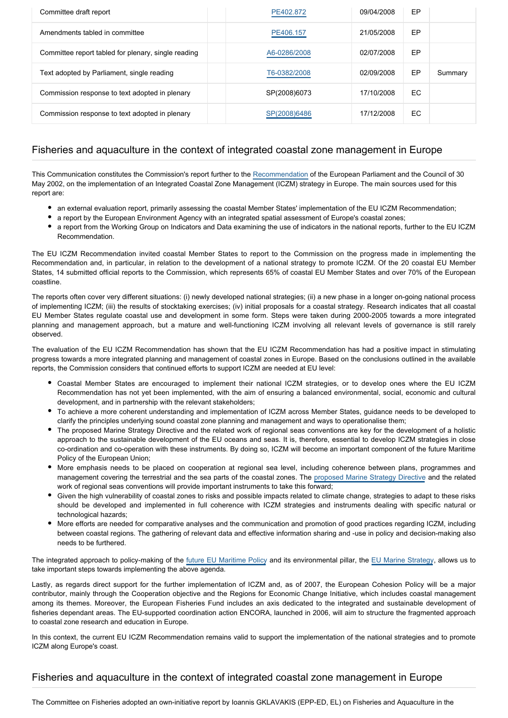| Committee draft report                              | PE402.872    | 09/04/2008 | EP |         |
|-----------------------------------------------------|--------------|------------|----|---------|
| Amendments tabled in committee                      | PE406.157    | 21/05/2008 | EP |         |
| Committee report tabled for plenary, single reading | A6-0286/2008 | 02/07/2008 | EP |         |
| Text adopted by Parliament, single reading          | T6-0382/2008 | 02/09/2008 | EP | Summary |
| Commission response to text adopted in plenary      | SP(2008)6073 | 17/10/2008 | EC |         |
| Commission response to text adopted in plenary      | SP(2008)6486 | 17/12/2008 | EC |         |

#### Fisheries and aquaculture in the context of integrated coastal zone management in Europe

This Communication constitutes the Commission's report further to the [Recommendation](http://www.europarl.europa.eu/oeil/file.jsp?id=199952¬iceType=null&language=en) of the European Parliament and the Council of 30 May 2002, on the implementation of an Integrated Coastal Zone Management (ICZM) strategy in Europe. The main sources used for this report are:

- an external evaluation report, primarily assessing the coastal Member States' implementation of the EU ICZM Recommendation;
- a report by the European Environment Agency with an integrated spatial assessment of Europe's coastal zones;
- a report from the Working Group on Indicators and Data examining the use of indicators in the national reports, further to the EU ICZM Recommendation.

The EU ICZM Recommendation invited coastal Member States to report to the Commission on the progress made in implementing the Recommendation and, in particular, in relation to the development of a national strategy to promote ICZM. Of the 20 coastal EU Member States, 14 submitted official reports to the Commission, which represents 65% of coastal EU Member States and over 70% of the European coastline.

The reports often cover very different situations: (i) newly developed national strategies; (ii) a new phase in a longer on-going national process of implementing ICZM; (iii) the results of stocktaking exercises; (iv) initial proposals for a coastal strategy. Research indicates that all coastal EU Member States regulate coastal use and development in some form. Steps were taken during 2000-2005 towards a more integrated planning and management approach, but a mature and well-functioning ICZM involving all relevant levels of governance is still rarely observed.

The evaluation of the EU ICZM Recommendation has shown that the EU ICZM Recommendation has had a positive impact in stimulating progress towards a more integrated planning and management of coastal zones in Europe. Based on the conclusions outlined in the available reports, the Commission considers that continued efforts to support ICZM are needed at EU level:

- Coastal Member States are encouraged to implement their national ICZM strategies, or to develop ones where the EU ICZM Recommendation has not yet been implemented, with the aim of ensuring a balanced environmental, social, economic and cultural development, and in partnership with the relevant stakeholders;
- To achieve a more coherent understanding and implementation of ICZM across Member States, guidance needs to be developed to clarify the principles underlying sound coastal zone planning and management and ways to operationalise them;
- The proposed Marine Strategy Directive and the related work of regional seas conventions are key for the development of a holistic approach to the sustainable development of the EU oceans and seas. It is, therefore, essential to develop ICZM strategies in close co-ordination and co-operation with these instruments. By doing so, ICZM will become an important component of the future Maritime Policy of the European Union;
- More emphasis needs to be placed on cooperation at regional sea level, including coherence between plans, programmes and management covering the terrestrial and the sea parts of the coastal zones. The [proposed Marine Strategy Directive](http://www.europarl.europa.eu/oeil/file.jsp?id=5283632¬iceType=null&language=en) and the related work of regional seas conventions will provide important instruments to take this forward;
- Given the high vulnerability of coastal zones to risks and possible impacts related to climate change, strategies to adapt to these risks should be developed and implemented in full coherence with ICZM strategies and instruments dealing with specific natural or technological hazards;
- More efforts are needed for comparative analyses and the communication and promotion of good practices regarding ICZM, including between coastal regions. The gathering of relevant data and effective information sharing and -use in policy and decision-making also needs to be furthered.

The integrated approach to policy-making of the [future EU Maritime Policy](http://www.europarl.europa.eu/oeil/file.jsp?id=5420622¬iceType=null&language=en) and its environmental pillar, the [EU Marine Strategy](http://www.europarl.europa.eu/oeil/file.jsp?id=5362942¬iceType=null&language=en), allows us to take important steps towards implementing the above agenda.

Lastly, as regards direct support for the further implementation of ICZM and, as of 2007, the European Cohesion Policy will be a major contributor, mainly through the Cooperation objective and the Regions for Economic Change Initiative, which includes coastal management among its themes. Moreover, the European Fisheries Fund includes an axis dedicated to the integrated and sustainable development of fisheries dependant areas. The EU-supported coordination action ENCORA, launched in 2006, will aim to structure the fragmented approach to coastal zone research and education in Europe.

In this context, the current EU ICZM Recommendation remains valid to support the implementation of the national strategies and to promote ICZM along Europe's coast.

### Fisheries and aquaculture in the context of integrated coastal zone management in Europe

The Committee on Fisheries adopted an own-initiative report by Ioannis GKLAVAKIS (EPP-ED, EL) on Fisheries and Aquaculture in the